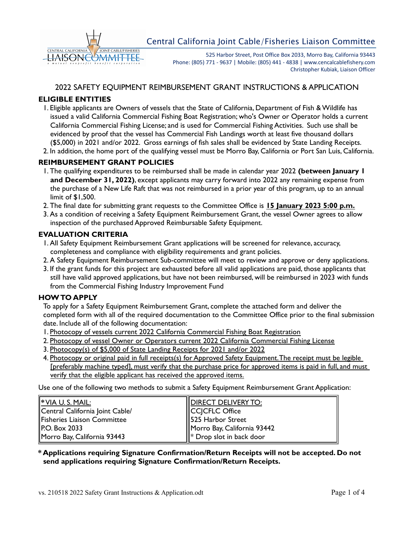

525 Harbor Street, Post Office Box 2033, Morro Bay, California 93443 Phone: (805) 771 - 9637 | Mobile: (805) 441 - 4838 | www.cencalcablefishery.com Christopher Kubiak, Liaison Officer

### 2022 SAFETY EQUIPMENT REIMBURSEMENT GRANT INSTRUCTIONS & APPLICATION

### **ELIGIBLE ENTITIES**

- 1. Eligible applicants are Owners of vessels that the State of California, Department of Fish & Wildlife has issued a valid California Commercial Fishing Boat Registration; who's Owner or Operator holds a current California Commercial Fishing License; and is used for Commercial Fishing Activities. Such use shall be evidenced by proof that the vessel has Commercial Fish Landings worth at least five thousand dollars (\$5,000) in 2021 and/or 2022. Gross earnings of fish sales shall be evidenced by State Landing Receipts.
- 2. In addition, the home port of the qualifying vessel must be Morro Bay, California or Port San Luis, California.

#### **REIMBURSEMENT GRANT POLICIES**

- 1. The qualifying expenditures to be reimbursed shall be made in calendar year 2022 **(between January 1 and December 31, 2022)**, except applicants may carry forward into 2022 any remaining expense from the purchase of a New Life Raft that was not reimbursed in a prior year of this program, up to an annual limit of \$1,500.
- 2. The final date for submitting grant requests to the Committee Office is **15 January 2023 5:00 p.m.**
- 3. As a condition of receiving a Safety Equipment Reimbursement Grant, the vessel Owner agrees to allow inspection of the purchased Approved Reimbursable Safety Equipment.

#### **EVALUATION CRITERIA**

- 1. All Safety Equipment Reimbursement Grant applications will be screened for relevance, accuracy, completeness and compliance with eligibility requirements and grant policies.
- 2. A Safety Equipment Reimbursement Sub-committee will meet to review and approve or deny applications.
- 3. If the grant funds for this project are exhausted before all valid applications are paid, those applicants that still have valid approved applications, but have not been reimbursed, will be reimbursed in 2023 with funds from the Commercial Fishing Industry Improvement Fund

#### **HOW TO APPLY**

To apply for a Safety Equipment Reimbursement Grant, complete the attached form and deliver the completed form with all of the required documentation to the Committee Office prior to the final submission date. Include all of the following documentation:

- 1. Photocopy of vessels current 2022 California Commercial Fishing Boat Registration
- 2. Photocopy of vessel Owner or Operators current 2022 California Commercial Fishing License
- 3. Photocopy(s) of \$5,000 of State Landing Receipts for 2021 and/or 2022
- 4. Photocopy or original paid in full receipts(s) for Approved Safety Equipment. The receipt must be legible [preferably machine typed], must verify that the purchase price for approved items is paid in full, and must verify that the eligible applicant has received the approved items.

Use one of the following two methods to submit a Safety Equipment Reimbursement Grant Application:

| $\parallel^*$ VIA U.S. MAIL:    | <b>IDIRECT DELIVERY TO:</b>   |
|---------------------------------|-------------------------------|
| Central California Joint Cable/ | CCICFLC Office                |
| Fisheries Liaison Committee     | $\parallel$ 525 Harbor Street |
| <b>P.O. Box 2033</b>            | Morro Bay, California 93442   |
| Morro Bay, California 93443     | $\ $ Drop slot in back door   |

**\* Applications requiring Signature Confirmation/Return Receipts will not be accepted. Do not send applications requiring Signature Confirmation/Return Receipts.**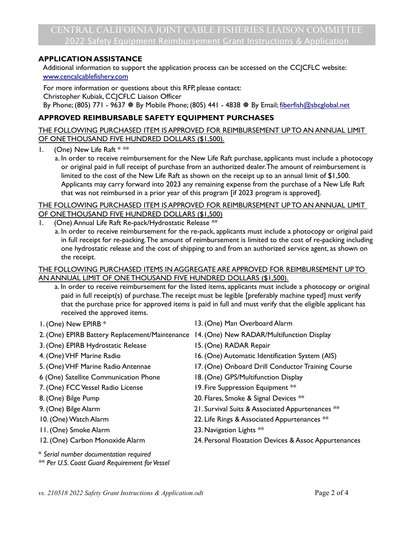### **APPLICATION ASSISTANCE**

Additional information to support the application process can be accessed on the CCJCFLC website: [www.cencalcablefishery.com](http://www.cencalcablefishery.com/)

For more information or questions about this RFP, please contact: Christopher Kubiak, CCJCFLC Liaison Officer By Phone; (805) 771 - 9637  $*$  By Mobile Phone; (805) 441 - 4838  $*$  By Email; [fiberfish@sbcglobal.net](mailto:fiberfish@sbcglobal.net)

# **APPROVED REIMBURSABLE SAFETY EQUIPMENT PURCHASES**

THE FOLLOWING PURCHASED ITEM IS APPROVED FOR REIMBURSEMENT UP TO AN ANNUAL LIMIT OF ONETHOUSAND FIVE HUNDRED DOLLARS (\$1,500).

- 1. (One) New Life Raft  $***$ 
	- a. In order to receive reimbursement for the New Life Raft purchase, applicants must include a photocopy or original paid in full receipt of purchase from an authorized dealer. The amount of reimbursement is limited to the cost of the New Life Raft as shown on the receipt up to an annual limit of \$1,500. Applicants may carry forward into 2023 any remaining expense from the purchase of a New Life Raft that was not reimbursed in a prior year of this program [if 2023 program is approved].

### THE FOLLOWING PURCHASED ITEM IS APPROVED FOR REIMBURSEMENT UP TO AN ANNUAL LIMIT OF ONE THOUSAND FIVE HUNDRED DOLLARS (\$1,500)

- (One) Annual Life Raft Re-pack/Hydrostatic Release \*\*
	- a. In order to receive reimbursement for the re-pack, applicants must include a photocopy or original paid in full receipt for re-packing. The amount of reimbursement is limited to the cost of re-packing including one hydrostatic release and the cost of shipping to and from an authorized service agent, as shown on the receipt.

### THE FOLLOWING PURCHASED ITEMS IN AGGREGATE ARE APPROVED FOR REIMBURSEMENT UP TO AN ANNUAL LIMIT OF ONE THOUSAND FIVE HUNDRED DOLLARS (\$1,500).

- a. In order to receive reimbursement for the listed items, applicants must include a photocopy or original paid in full receipt(s) of purchase. The receipt must be legible [preferably machine typed] must verify that the purchase price for approved items is paid in full and must verify that the eligible applicant has received the approved items.
- 
- 1. (One) New EPIRB \* 13. (One) Man Overboard Alarm
- 2. (One) EPIRB Battery Replacement/Maintenance 14. (One) New RADAR/Multifunction Display
- 3. (One) EPIRB Hydrostatic Release 15. (One) RADAR Repair
- 4. (One) VHF Marine Radio 16. (One) Automatic Identification System (AIS)
- 5. (One) VHF Marine Radio Antennae 17. (One) Onboard Drill Conductor Training Course
- 6 (One) Satellite Communication Phone 18. (One) GPS/Multifunction Display
- 7. (One) FCC Vessel Radio License 19. Fire Suppression Equipment \*\*
- 8. (One) Bilge Pump 20. Flares, Smoke & Signal Devices  $**$
- 9. (One) Bilge Alarm 21. Survival Suits & Associated Appurtenances \*\*
- 10. (One) Watch Alarm 22. Life Rings & Associated Appurtenances  $**$
- 11. (One) Smoke Alarm 23. Navigation Lights \*\*
- 
- 12. (One) Carbon Monoxide Alarm 24. Personal Floatation Devices & Assoc Appurtenances
- \* *Serial number documentation required*
- \*\* *Per U.S. Coast Guard Requirement for Vessel*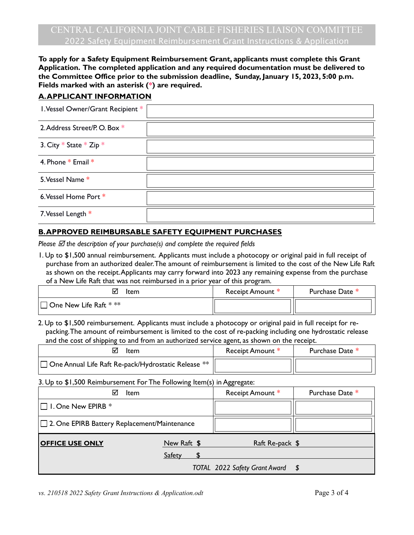**To apply for a Safety Equipment Reimbursement Grant, applicants must complete this Grant Application. The completed application and any required documentation must be delivered to the Committee Office prior to the submission deadline, Sunday, January 15, 2023, 5:00 p.m. Fields marked with an asterisk (\*) are required.**

# **A. APPLICANT INFORMATION**

| I. Vessel Owner/Grant Recipient * |  |
|-----------------------------------|--|
| 2. Address Street/P. O. Box *     |  |
| 3. City * State * Zip *           |  |
| 4. Phone * Email *                |  |
| 5. Vessel Name *                  |  |
| 6. Vessel Home Port *             |  |
| 7. Vessel Length *                |  |

# **B. APPROVED REIMBURSABLE SAFETY EQUIPMENT PURCHASES**

*Please the description of your purchase(s) and complete the required fields*

1. Up to \$1,500 annual reimbursement. Applicants must include a photocopy or original paid in full receipt of purchase from an authorized dealer. The amount of reimbursement is limited to the cost of the New Life Raft as shown on the receipt. Applicants may carry forward into 2023 any remaining expense from the purchase of a New Life Raft that was not reimbursed in a prior year of this program.

| Item                                     | Receipt Amount * | Purchase Date * |
|------------------------------------------|------------------|-----------------|
| $ \Box$ One New Life Raft $^{*}$ $^{**}$ |                  |                 |

2. Up to \$1,500 reimbursement. Applicants must include a photocopy or original paid in full receipt for repacking. The amount of reimbursement is limited to the cost of re-packing including one hydrostatic release and the cost of shipping to and from an authorized service agent, as shown on the receipt.

| Item                                                            | Receipt Amount * | Purchase Date * |
|-----------------------------------------------------------------|------------------|-----------------|
| $\Box$ One Annual Life Raft Re-pack/Hydrostatic Release $^{**}$ |                  |                 |

3. Up to \$1,500 Reimbursement For The Following Item(s) in Aggregate:

| <b>Item</b><br>⋈                               |             | Receipt Amount *                 | Purchase Date * |
|------------------------------------------------|-------------|----------------------------------|-----------------|
| $\Box$ I. One New EPIRB $*$                    |             |                                  |                 |
| □ 2. One EPIRB Battery Replacement/Maintenance |             |                                  |                 |
| <b>OFFICE USE ONLY</b>                         | New Raft \$ | Raft Re-pack \$                  |                 |
|                                                | Safety      |                                  |                 |
|                                                |             | TOTAL 2022 Safety Grant Award \$ |                 |